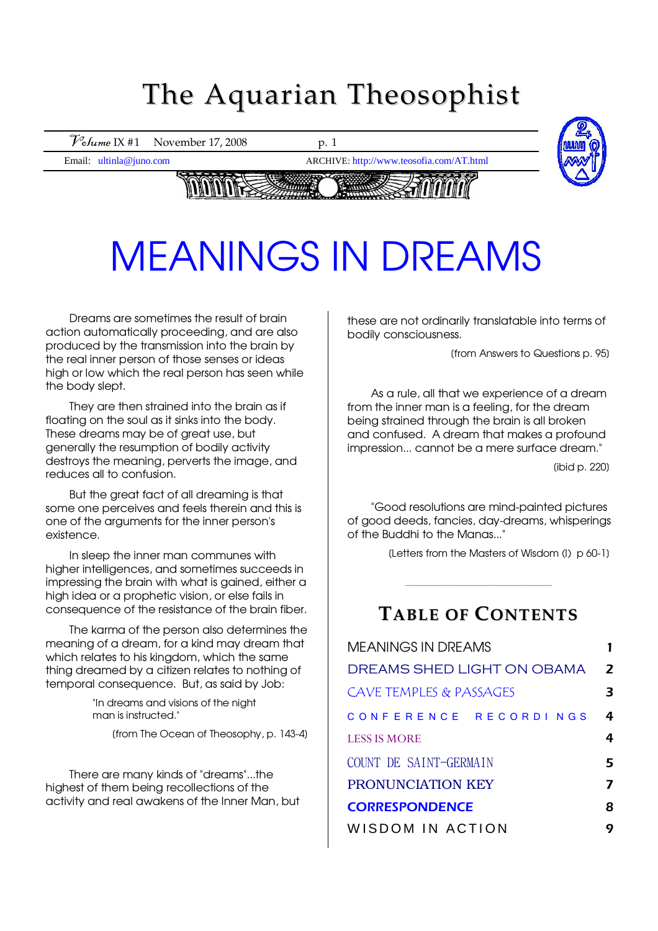## The Aquarian Theosophist



# MEANINGS IN DREAMS MEANINGS IN DREAMS

Dreams are sometimes the result of brain action automatically proceeding, and are also produced by the transmission into the brain by the real inner person of those senses or ideas high or low which the real person has seen while the body slept.

They are then strained into the brain as if floating on the soul as it sinks into the body. These dreams may be of great use, but generally the resumption of bodily activity destroys the meaning, perverts the image, and reduces all to confusion.

But the great fact of all dreaming is that some one perceives and feels therein and this is one of the arguments for the inner person's existence.

In sleep the inner man communes with higher intelligences, and sometimes succeeds in impressing the brain with what is gained, either a high idea or a prophetic vision, or else fails in consequence of the resistance of the brain fiber.

The karma of the person also determines the meaning of a dream, for a kind may dream that which relates to his kingdom, which the same thing dreamed by a citizen relates to nothing of temporal consequence. But, as said by Job:

> "In dreams and visions of the night man is instructed."

> > [from The Ocean of Theosophy, p. 143-4]

There are many kinds of "dreams"...the highest of them being recollections of the activity and real awakens of the Inner Man, but these are not ordinarily translatable into terms of bodily consciousness.

[from Answers to Questions p. 95]

As a rule, all that we experience of a dream from the inner man is a feeling, for the dream being strained through the brain is all broken and confused. A dream that makes a profound impression... cannot be a mere surface dream."

[ibid p. 220]

"Good resolutions are mind-painted pictures of good deeds, fancies, day-dreams, whisperings of the Buddhi to the Manas..."

[Letters from the Masters of Wisdom (I) p 60-1]

## **TABLE OF CONTENTS**

 $\_$  ,  $\_$  ,  $\_$  ,  $\_$  ,  $\_$  ,  $\_$  ,  $\_$  ,  $\_$  ,  $\_$  ,  $\_$  ,  $\_$  ,  $\_$  ,  $\_$  ,  $\_$  ,  $\_$  ,  $\_$ 

| <b>MEANINGS IN DREAMS</b>          |                  |
|------------------------------------|------------------|
| DREAMS SHED LIGHT ON OBAMA         | $\boldsymbol{z}$ |
| <b>CAVE TEMPLES &amp; PASSAGES</b> | 3                |
| CONFERENCE RECORDINGS              | 4                |
| <b>LESS IS MORE</b>                | 4                |
| COUNT DE SAINT-GERMAIN             | 5                |
| <b>PRONUNCIATION KEY</b>           |                  |
| <b>CORRESPONDENCE</b>              | 8                |
| WISDOM IN ACTION                   | Q                |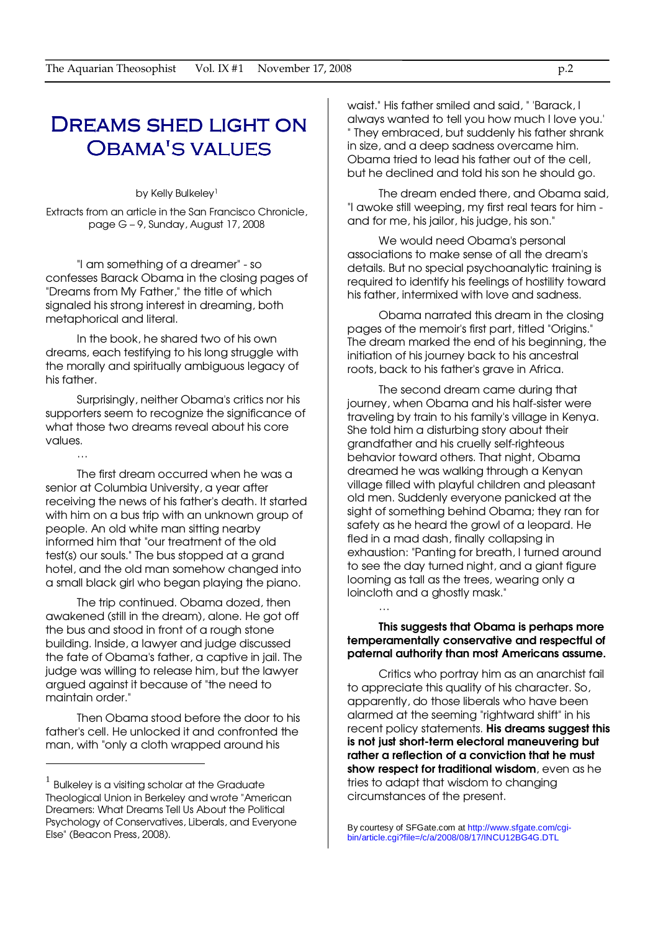## Dreams shed light on Obama's values

by Kelly Bulkeley<sup>1</sup>

Extracts from an article in the San Francisco Chronicle, page G – 9, Sunday, August 17, 2008

"I am something of a dreamer" - so confesses Barack Obama in the closing pages of "Dreams from My Father," the title of which signaled his strong interest in dreaming, both metaphorical and literal.

In the book, he shared two of his own dreams, each testifying to his long struggle with the morally and spiritually ambiguous legacy of his father.

Surprisingly, neither Obama's critics nor his supporters seem to recognize the significance of what those two dreams reveal about his core values.

…

 $\overline{a}$ 

The first dream occurred when he was a senior at Columbia University, a year after receiving the news of his father's death. It started with him on a bus trip with an unknown group of people. An old white man sitting nearby informed him that "our treatment of the old test(s) our souls." The bus stopped at a grand hotel, and the old man somehow changed into a small black girl who began playing the piano.

The trip continued. Obama dozed, then awakened (still in the dream), alone. He got off the bus and stood in front of a rough stone building. Inside, a lawyer and judge discussed the fate of Obama's father, a captive in jail. The judge was willing to release him, but the lawyer argued against it because of "the need to maintain order."

Then Obama stood before the door to his father's cell. He unlocked it and confronted the man, with "only a cloth wrapped around his

waist." His father smiled and said, " 'Barack, I always wanted to tell you how much I love you.' " They embraced, but suddenly his father shrank in size, and a deep sadness overcame him. Obama tried to lead his father out of the cell, but he declined and told his son he should go.

The dream ended there, and Obama said, "I awoke still weeping, my first real tears for him and for me, his jailor, his judge, his son."

We would need Obama's personal associations to make sense of all the dream's details. But no special psychoanalytic training is required to identify his feelings of hostility toward his father, intermixed with love and sadness.

Obama narrated this dream in the closing pages of the memoir's first part, titled "Origins." The dream marked the end of his beginning, the initiation of his journey back to his ancestral roots, back to his father's grave in Africa.

The second dream came during that journey, when Obama and his half-sister were traveling by train to his family's village in Kenya. She told him a disturbing story about their grandfather and his cruelly self-righteous behavior toward others. That night, Obama dreamed he was walking through a Kenyan village filled with playful children and pleasant old men. Suddenly everyone panicked at the sight of something behind Obama; they ran for safety as he heard the growl of a leopard. He fled in a mad dash, finally collapsing in exhaustion: "Panting for breath, I turned around to see the day turned night, and a giant figure looming as tall as the trees, wearing only a loincloth and a ghostly mask."

### This suggests that Obama is perhaps more temperamentally conservative and respectful of paternal authority than most Americans assume.

…

Critics who portray him as an anarchist fail to appreciate this quality of his character. So, apparently, do those liberals who have been alarmed at the seeming "rightward shift" in his recent policy statements. His dreams suggest this is not just short-term electoral maneuvering but rather a reflection of a conviction that he must show respect for traditional wisdom, even as he tries to adapt that wisdom to changing circumstances of the present.

 $^{\rm 1}$  Bulkeley is a visiting scholar at the Graduate Theological Union in Berkeley and wrote "American Dreamers: What Dreams Tell Us About the Political Psychology of Conservatives, Liberals, and Everyone Else" (Beacon Press, 2008).

By courtesy of SFGate.com at http://www.sfgate.com/cgibin/article.cgi?file=/c/a/2008/08/17/INCU12BG4G.DTL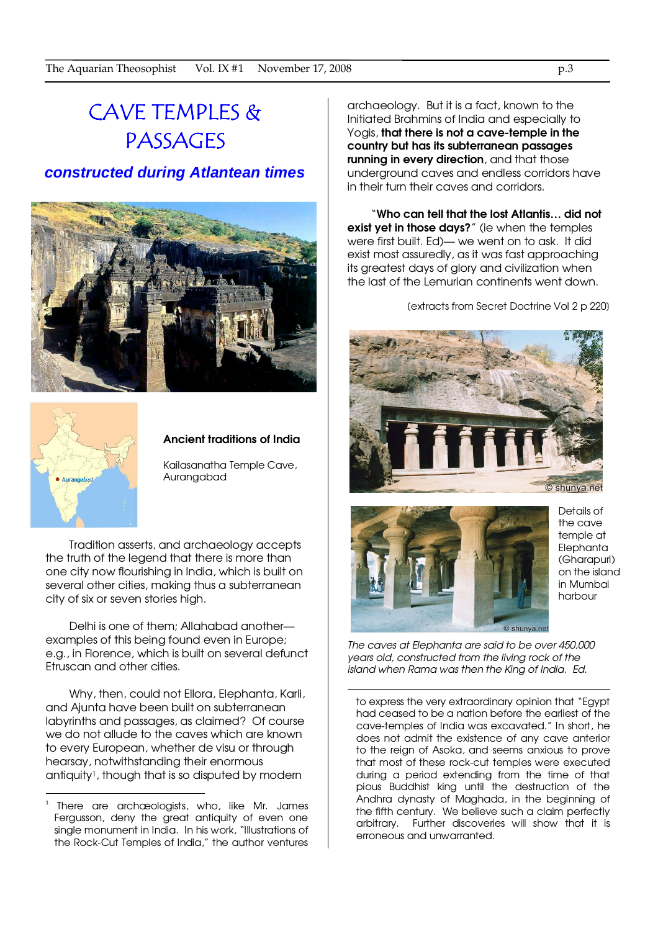## CAVE TEMPLES & PASSAGES

### **constructed during Atlantean times**





 $\overline{a}$ 

### Ancient traditions of India

Kailasanatha Temple Cave, Aurangabad

Tradition asserts, and archaeology accepts the truth of the legend that there is more than one city now flourishing in India, which is built on several other cities, making thus a subterranean city of six or seven stories high.

Delhi is one of them; Allahabad another examples of this being found even in Europe; e.g., in Florence, which is built on several defunct Etruscan and other cities.

Why, then, could not Ellora, Elephanta, Karli, and Ajunta have been built on subterranean labyrinths and passages, as claimed? Of course we do not allude to the caves which are known to every European, whether de visu or through hearsay, notwithstanding their enormous antiquity1, though that is so disputed by modern

archaeology. But it is a fact, known to the Initiated Brahmins of India and especially to Yogis, that there is not a cave-temple in the country but has its subterranean passages running in every direction, and that those underground caves and endless corridors have in their turn their caves and corridors.

"Who can tell that the lost Atlantis… did not exist yet in those days?" (ie when the temples were first built. Ed)— we went on to ask. It did exist most assuredly, as it was fast approaching its greatest days of glory and civilization when the last of the Lemurian continents went down.

[extracts from Secret Doctrine Vol 2 p 220]





 $\overline{a}$ 

Details of the cave temple at Elephanta (Gharapuri) on the island in Mumbai harbour

The caves at Elephanta are said to be over 450,000 years old, constructed from the living rock of the island when Rama was then the King of India. Ed.

to express the very extraordinary opinion that "Egypt had ceased to be a nation before the earliest of the cave-temples of India was excavated." In short, he does not admit the existence of any cave anterior to the reign of Asoka, and seems anxious to prove that most of these rock-cut temples were executed during a period extending from the time of that pious Buddhist king until the destruction of the Andhra dynasty of Maghada, in the beginning of the fifth century. We believe such a claim perfectly arbitrary. Further discoveries will show that it is erroneous and unwarranted.

<sup>1</sup> There are archæologists, who, like Mr. James Fergusson, deny the great antiquity of even one single monument in India. In his work, "Illustrations of the Rock-Cut Temples of India," the author ventures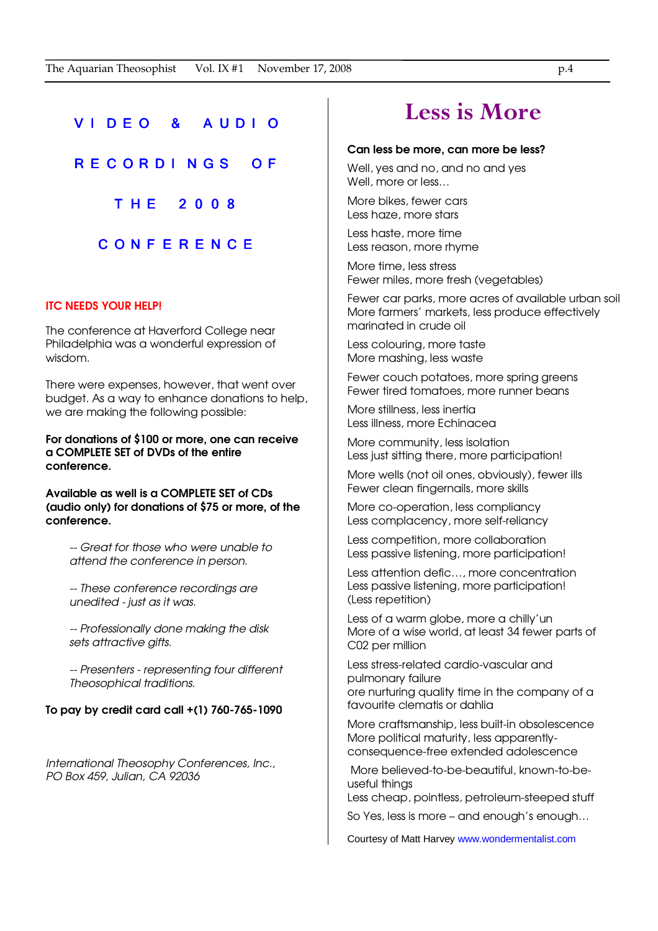### V I D E O & A U D I O

R E C O R D I N G S O F

T H E 2 0 0 8

### C O N F E R E N C E

### ITC NEEDS YOUR HELP!

The conference at Haverford College near Philadelphia was a wonderful expression of wisdom.

There were expenses, however, that went over budget. As a way to enhance donations to help, we are making the following possible:

For donations of \$100 or more, one can receive a COMPLETE SET of DVDs of the entire conference.

Available as well is a COMPLETE SET of CDs (audio only) for donations of \$75 or more, of the conference.

-- Great for those who were unable to attend the conference in person.

-- These conference recordings are unedited - just as it was.

-- Professionally done making the disk sets attractive gifts.

-- Presenters - representing four different Theosophical traditions.

### To pay by credit card call +(1) 760-765-1090

International Theosophy Conferences, Inc., PO Box 459, Julian, CA 92036

## Less is More

#### Can less be more, can more be less?

Well, yes and no, and no and yes Well, more or less…

More bikes, fewer cars Less haze, more stars

Less haste, more time Less reason, more rhyme

More time, less stress Fewer miles, more fresh (vegetables)

Fewer car parks, more acres of available urban soil More farmers' markets, less produce effectively marinated in crude oil

Less colouring, more taste More mashing, less waste

Fewer couch potatoes, more spring greens Fewer tired tomatoes, more runner beans

More stillness, less inertia Less illness, more Echinacea

More community, less isolation Less just sitting there, more participation!

More wells (not oil ones, obviously), fewer ills Fewer clean fingernails, more skills

More co-operation, less compliancy Less complacency, more self-reliancy

Less competition, more collaboration Less passive listening, more participation!

Less attention defic…, more concentration Less passive listening, more participation! (Less repetition)

Less of a warm globe, more a chilly'un More of a wise world, at least 34 fewer parts of C02 per million

Less stress-related cardio-vascular and pulmonary failure ore nurturing quality time in the company of a favourite clematis or dahlia

More craftsmanship, less built-in obsolescence More political maturity, less apparentlyconsequence-free extended adolescence

 More believed-to-be-beautiful, known-to-beuseful things

Less cheap, pointless, petroleum-steeped stuff

So Yes, less is more – and enough's enough…

Courtesy of Matt Harvey www.wondermentalist.com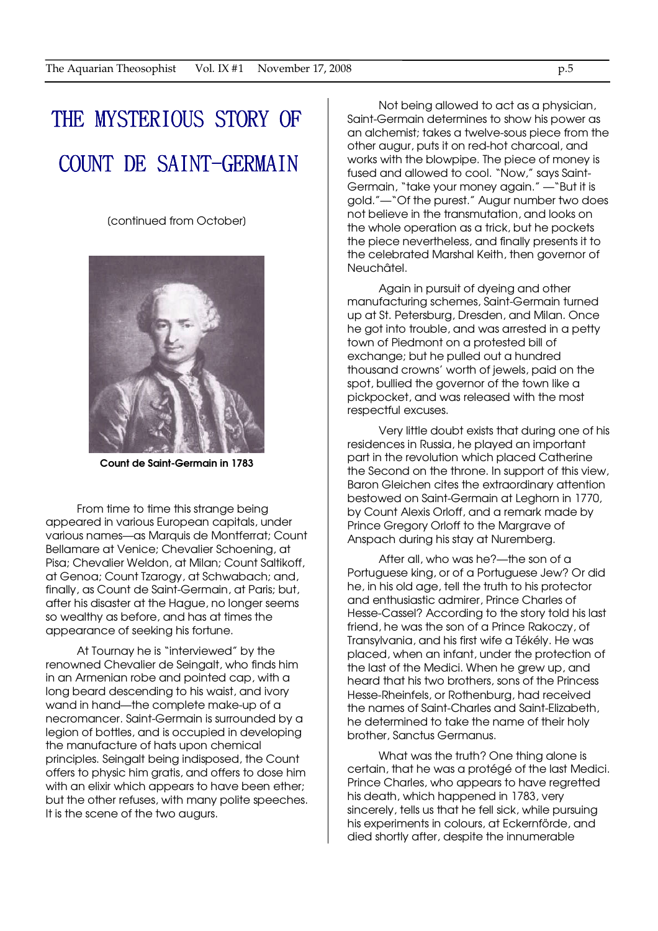## THE MYSTERIOUS STORY OF COUNT DE SAINT-GERMAIN

[continued from October]



Count de Saint-Germain in 1783

From time to time this strange being appeared in various European capitals, under various names—as Marquis de Montferrat; Count Bellamare at Venice; Chevalier Schoening, at Pisa; Chevalier Weldon, at Milan; Count Saltikoff, at Genoa; Count Tzarogy, at Schwabach; and, finally, as Count de Saint-Germain, at Paris; but, after his disaster at the Hague, no longer seems so wealthy as before, and has at times the appearance of seeking his fortune.

At Tournay he is "interviewed" by the renowned Chevalier de Seingalt, who finds him in an Armenian robe and pointed cap, with a long beard descending to his waist, and ivory wand in hand—the complete make-up of a necromancer. Saint-Germain is surrounded by a legion of bottles, and is occupied in developing the manufacture of hats upon chemical principles. Seingalt being indisposed, the Count offers to physic him gratis, and offers to dose him with an elixir which appears to have been ether; but the other refuses, with many polite speeches. It is the scene of the two augurs.

Not being allowed to act as a physician, Saint-Germain determines to show his power as an alchemist; takes a twelve-sous piece from the other augur, puts it on red-hot charcoal, and works with the blowpipe. The piece of money is fused and allowed to cool. "Now," says Saint-Germain, "take your money again." —"But it is gold."—"Of the purest." Augur number two does not believe in the transmutation, and looks on the whole operation as a trick, but he pockets the piece nevertheless, and finally presents it to the celebrated Marshal Keith, then governor of Neuchâtel.

Again in pursuit of dyeing and other manufacturing schemes, Saint-Germain turned up at St. Petersburg, Dresden, and Milan. Once he got into trouble, and was arrested in a petty town of Piedmont on a protested bill of exchange; but he pulled out a hundred thousand crowns' worth of jewels, paid on the spot, bullied the governor of the town like a pickpocket, and was released with the most respectful excuses.

Very little doubt exists that during one of his residences in Russia, he played an important part in the revolution which placed Catherine the Second on the throne. In support of this view, Baron Gleichen cites the extraordinary attention bestowed on Saint-Germain at Leghorn in 1770, by Count Alexis Orloff, and a remark made by Prince Gregory Orloff to the Margrave of Anspach during his stay at Nuremberg.

After all, who was he?—the son of a Portuguese king, or of a Portuguese Jew? Or did he, in his old age, tell the truth to his protector and enthusiastic admirer, Prince Charles of Hesse-Cassel? According to the story told his last friend, he was the son of a Prince Rakoczy, of Transylvania, and his first wife a Tékély. He was placed, when an infant, under the protection of the last of the Medici. When he grew up, and heard that his two brothers, sons of the Princess Hesse-Rheinfels, or Rothenburg, had received the names of Saint-Charles and Saint-Elizabeth, he determined to take the name of their holy brother, Sanctus Germanus.

What was the truth? One thing alone is certain, that he was a protégé of the last Medici. Prince Charles, who appears to have regretted his death, which happened in 1783, very sincerely, tells us that he fell sick, while pursuing his experiments in colours, at Eckernförde, and died shortly after, despite the innumerable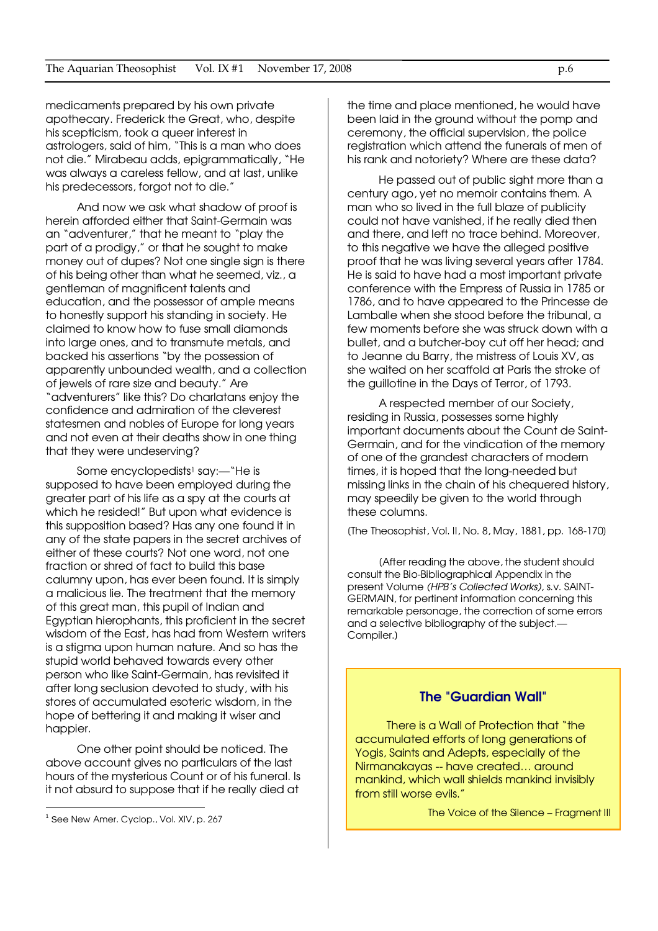medicaments prepared by his own private apothecary. Frederick the Great, who, despite his scepticism, took a queer interest in astrologers, said of him, "This is a man who does not die." Mirabeau adds, epigrammatically, "He was always a careless fellow, and at last, unlike his predecessors, forgot not to die."

And now we ask what shadow of proof is herein afforded either that Saint-Germain was an "adventurer," that he meant to "play the part of a prodigy," or that he sought to make money out of dupes? Not one single sign is there of his being other than what he seemed, viz., a gentleman of magnificent talents and education, and the possessor of ample means to honestly support his standing in society. He claimed to know how to fuse small diamonds into large ones, and to transmute metals, and backed his assertions "by the possession of apparently unbounded wealth, and a collection of jewels of rare size and beauty." Are "adventurers" like this? Do charlatans enjoy the confidence and admiration of the cleverest statesmen and nobles of Europe for long years and not even at their deaths show in one thing that they were undeserving?

Some encyclopedists<sup>1</sup> say:—"He is supposed to have been employed during the greater part of his life as a spy at the courts at which he resided!" But upon what evidence is this supposition based? Has any one found it in any of the state papers in the secret archives of either of these courts? Not one word, not one fraction or shred of fact to build this base calumny upon, has ever been found. It is simply a malicious lie. The treatment that the memory of this great man, this pupil of Indian and Egyptian hierophants, this proficient in the secret wisdom of the East, has had from Western writers is a stigma upon human nature. And so has the stupid world behaved towards every other person who like Saint-Germain, has revisited it after long seclusion devoted to study, with his stores of accumulated esoteric wisdom, in the hope of bettering it and making it wiser and happier.

One other point should be noticed. The above account gives no particulars of the last hours of the mysterious Count or of his funeral. Is it not absurd to suppose that if he really died at

 $\overline{a}$ 

the time and place mentioned, he would have been laid in the ground without the pomp and ceremony, the official supervision, the police registration which attend the funerals of men of his rank and notoriety? Where are these data?

He passed out of public sight more than a century ago, yet no memoir contains them. A man who so lived in the full blaze of publicity could not have vanished, if he really died then and there, and left no trace behind. Moreover, to this negative we have the alleged positive proof that he was living several years after 1784. He is said to have had a most important private conference with the Empress of Russia in 1785 or 1786, and to have appeared to the Princesse de Lamballe when she stood before the tribunal, a few moments before she was struck down with a bullet, and a butcher-boy cut off her head; and to Jeanne du Barry, the mistress of Louis XV, as she waited on her scaffold at Paris the stroke of the guillotine in the Days of Terror, of 1793.

A respected member of our Society, residing in Russia, possesses some highly important documents about the Count de Saint-Germain, and for the vindication of the memory of one of the grandest characters of modern times, it is hoped that the long-needed but missing links in the chain of his chequered history, may speedily be given to the world through these columns.

[The Theosophist, Vol. II, No. 8, May, 1881, pp. 168-170]

[After reading the above, the student should consult the Bio-Bibliographical Appendix in the present Volume (HPB's Collected Works), s.v. SAINT-GERMAIN, for pertinent information concerning this remarkable personage, the correction of some errors and a selective bibliography of the subject.— Compiler.]

### The "Guardian Wall"

There is a Wall of Protection that "the accumulated efforts of long generations of Yogis, Saints and Adepts, especially of the Nirmanakayas -- have created… around mankind, which wall shields mankind invisibly from still worse evils."

The Voice of the Silence – Fragment III

<sup>&</sup>lt;sup>1</sup> See New Amer. Cyclop., Vol. XIV, p. 267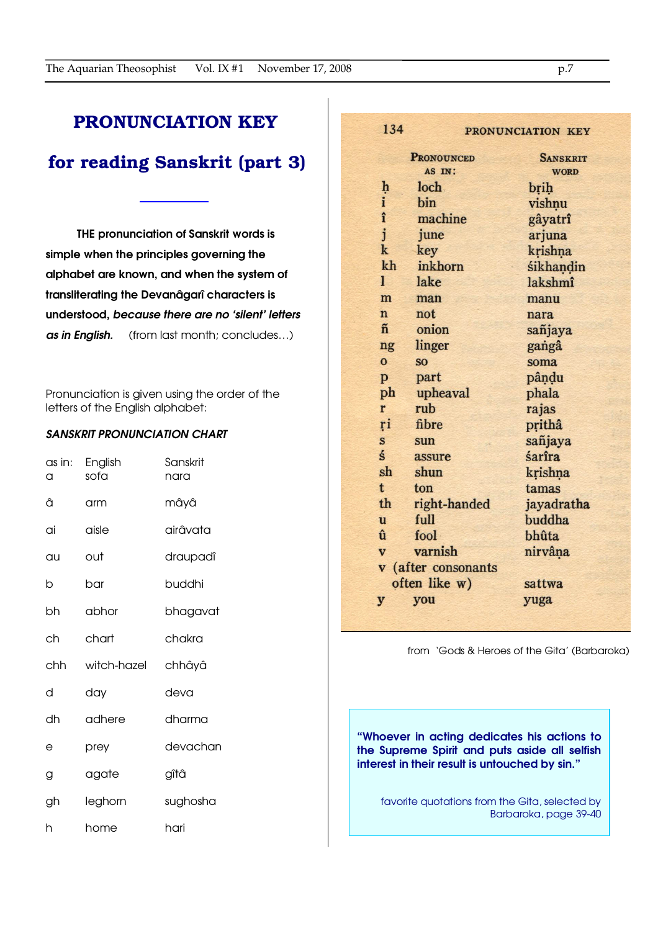### PRONUNCIATION KEY

### for reading Sanskrit (part 3)

THE pronunciation of Sanskrit words is simple when the principles governing the alphabet are known, and when the system of transliterating the Devanâgarî characters is understood, because there are no 'silent' letters as in English. (from last month; concludes...)

Pronunciation is given using the order of the letters of the English alphabet:

### SANSKRIT PRONUNCIATION CHART

| as in:<br>a | English<br>sofa | Sanskrit<br>nara |
|-------------|-----------------|------------------|
| â           | arm             | mâyâ             |
| ai          | aisle           | airâvata         |
| au          | out             | draupadî         |
| b           | bar             | buddhi           |
| bh          | abhor           | bhagavat         |
| ch          | chart           | chakra           |
| chh         | witch-hazel     | chhâyâ           |
| d           | day             | deva             |
| dh          | adhere          | dharma           |
| е           | prey            | devachan         |
| g           | agate           | gîtâ             |
| gh          | leghorn         | sughosha         |
| h           | home            | hari             |

|                         | <b>PRONOUNCED</b>   | <b>SANSKRIT</b> |  |
|-------------------------|---------------------|-----------------|--|
|                         | AS IN:              | <b>WORD</b>     |  |
| $\frac{h}{i}$           | loch                | brih            |  |
|                         | bin                 | vishņu          |  |
| î                       | machine             | gâyatrî         |  |
| j                       | june                | arjuna          |  |
| $\mathbf k$             | key                 | krishna         |  |
| kh                      | inkhorn             | śikhandin       |  |
| $\mathbf{1}$            | lake                | lakshmî         |  |
| m                       | man                 | manu            |  |
| $\mathbf n$             | not                 | nara            |  |
| $\tilde{\mathbf{n}}$    | onion               | sañjaya         |  |
| ng                      | linger              | gangâ           |  |
| $\mathbf{o}$            | <b>SO</b>           | soma            |  |
| p                       | part                | pându           |  |
| ph                      | upheaval            | phala           |  |
| r                       | rub                 | rajas           |  |
| ŗi                      | fibre               | prithâ          |  |
| S                       | sun                 | sañjaya         |  |
| ś                       | assure              | śarîra          |  |
| sh                      | shun                | krishna         |  |
| t                       | ton                 | tamas           |  |
| th                      | right-handed        | jayadratha      |  |
| u                       | full                | buddha          |  |
| û                       | fool                | bhûta           |  |
| $\overline{\mathbf{V}}$ | varnish             | nirvâna         |  |
|                         | v (after consonants |                 |  |
|                         | often like w)       | sattwa          |  |

134

y

you

from 'Gods & Heroes of the Gita' (Barbaroka)

yuga

"Whoever in acting dedicates his actions to the Supreme Spirit and puts aside all selfish interest in their result is untouched by sin."

favorite quotations from the Gita, selected by Barbaroka, page 39-40

PRONUNCIATION KEY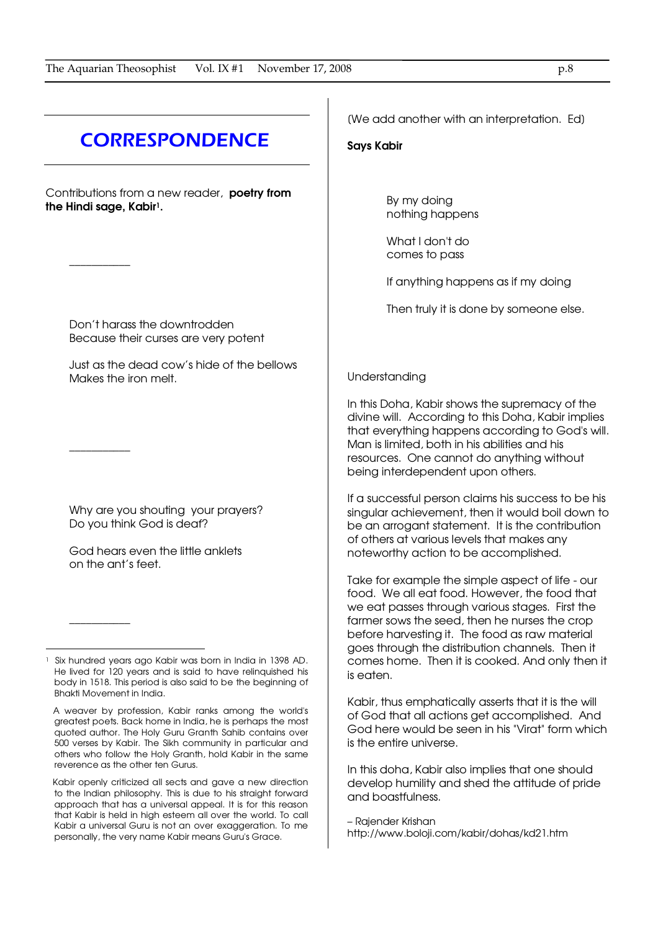## **CORRESPONDENCE**

Contributions from a new reader, poetry from the Hindi sage, Kabir<sup>1</sup>.

\_\_\_\_\_\_\_\_\_\_\_

\_\_\_\_\_\_\_\_\_\_\_

\_\_\_\_\_\_\_\_\_\_\_

 $\overline{a}$ 

Don't harass the downtrodden Because their curses are very potent

Just as the dead cow's hide of the bellows Makes the iron melt.

Why are you shouting your prayers? Do you think God is deaf?

God hears even the little anklets on the ant's feet.

[We add another with an interpretation. Ed]

### Says Kabir

By my doing nothing happens

What I don't do comes to pass

If anything happens as if my doing

Then truly it is done by someone else.

#### Understanding

In this Doha, Kabir shows the supremacy of the divine will. According to this Doha, Kabir implies that everything happens according to God's will. Man is limited, both in his abilities and his resources. One cannot do anything without being interdependent upon others.

If a successful person claims his success to be his singular achievement, then it would boil down to be an arrogant statement. It is the contribution of others at various levels that makes any noteworthy action to be accomplished.

Take for example the simple aspect of life - our food. We all eat food. However, the food that we eat passes through various stages. First the farmer sows the seed, then he nurses the crop before harvesting it. The food as raw material goes through the distribution channels. Then it comes home. Then it is cooked. And only then it is eaten.

Kabir, thus emphatically asserts that it is the will of God that all actions get accomplished. And God here would be seen in his "Virat" form which is the entire universe.

In this doha, Kabir also implies that one should develop humility and shed the attitude of pride and boastfulness.

– Rajender Krishan http://www.boloji.com/kabir/dohas/kd21.htm

<sup>1</sup> Six hundred years ago Kabir was born in India in 1398 AD. He lived for 120 years and is said to have relinquished his body in 1518. This period is also said to be the beginning of Bhakti Movement in India.

A weaver by profession, Kabir ranks among the world's greatest poets. Back home in India, he is perhaps the most quoted author. The Holy Guru Granth Sahib contains over 500 verses by Kabir. The Sikh community in particular and others who follow the Holy Granth, hold Kabir in the same reverence as the other ten Gurus.

Kabir openly criticized all sects and gave a new direction to the Indian philosophy. This is due to his straight forward approach that has a universal appeal. It is for this reason that Kabir is held in high esteem all over the world. To call Kabir a universal Guru is not an over exaggeration. To me personally, the very name Kabir means Guru's Grace.